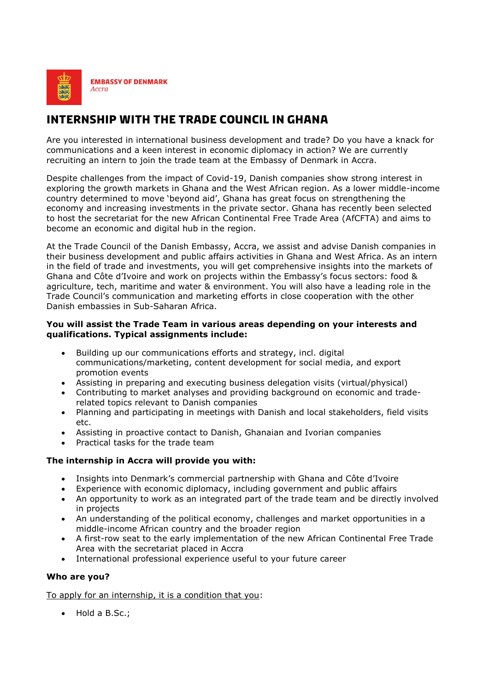

# **INTERNSHIP WITH THE TRADE COUNCIL IN GHANA**

Are you interested in international business development and trade? Do you have a knack for communications and a keen interest in economic diplomacy in action? We are currently recruiting an intern to join the trade team at the Embassy of Denmark in Accra.

Despite challenges from the impact of Covid-19, Danish companies show strong interest in exploring the growth markets in Ghana and the West African region. As a lower middle-income country determined to move 'beyond aid', Ghana has great focus on strengthening the economy and increasing investments in the private sector. Ghana has recently been selected to host the secretariat for the new African Continental Free Trade Area (AfCFTA) and aims to become an economic and digital hub in the region.

At the Trade Council of the Danish Embassy, Accra, we assist and advise Danish companies in their business development and public affairs activities in Ghana and West Africa. As an intern in the field of trade and investments, you will get comprehensive insights into the markets of Ghana and Côte d'Ivoire and work on projects within the Embassy's focus sectors: food & agriculture, tech, maritime and water & environment. You will also have a leading role in the Trade Council's communication and marketing efforts in close cooperation with the other Danish embassies in Sub-Saharan Africa.

## **You will assist the Trade Team in various areas depending on your interests and qualifications. Typical assignments include:**

- Building up our communications efforts and strategy, incl. digital communications/marketing, content development for social media, and export promotion events
- Assisting in preparing and executing business delegation visits (virtual/physical)
- Contributing to market analyses and providing background on economic and traderelated topics relevant to Danish companies
- Planning and participating in meetings with Danish and local stakeholders, field visits etc.
- Assisting in proactive contact to Danish, Ghanaian and Ivorian companies
- Practical tasks for the trade team

# **The internship in Accra will provide you with:**

- Insights into Denmark's commercial partnership with Ghana and Côte d'Ivoire
- Experience with economic diplomacy, including government and public affairs
- An opportunity to work as an integrated part of the trade team and be directly involved in projects
- An understanding of the political economy, challenges and market opportunities in a middle-income African country and the broader region
- A first-row seat to the early implementation of the new African Continental Free Trade Area with the secretariat placed in Accra
- International professional experience useful to your future career

### **Who are you?**

To apply for an internship, it is a condition that you:

• Hold a B.Sc.;